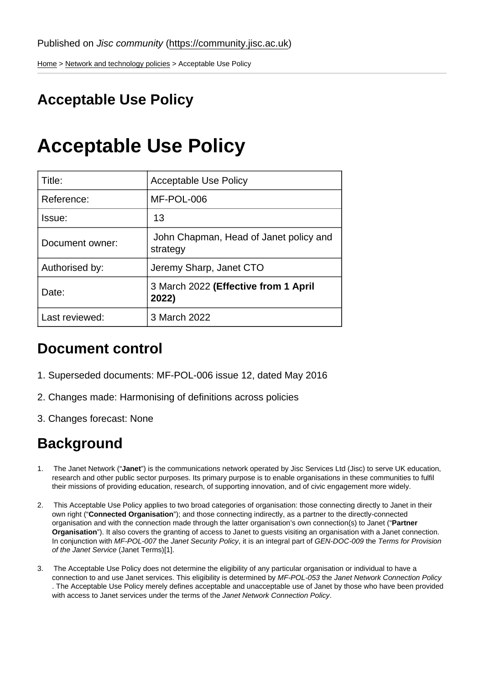[Home](https://community.jisc.ac.uk/) > [Network and technology policies](https://community.jisc.ac.uk/library/janet-policies) > Acceptable Use Policy

# Acceptable Use Policy

# Acceptable Use Policy

| Title:          | <b>Acceptable Use Policy</b>                       |
|-----------------|----------------------------------------------------|
| Reference:      | MF-POL-006                                         |
| Issue:          | 13                                                 |
| Document owner: | John Chapman, Head of Janet policy and<br>strategy |
| Authorised by:  | Jeremy Sharp, Janet CTO                            |
| Date:           | 3 March 2022 (Effective from 1 April<br>2022)      |
| Last reviewed:  | 3 March 2022                                       |

## Document control

- 1. Superseded documents: MF-POL-006 issue 12, dated May 2016
- 2. Changes made: Harmonising of definitions across policies
- 3. Changes forecast: None

## **Background**

- 1. The Janet Network ("Janet") is the communications network operated by Jisc Services Ltd (Jisc) to serve UK education, research and other public sector purposes. Its primary purpose is to enable organisations in these communities to fulfil their missions of providing education, research, of supporting innovation, and of civic engagement more widely.
- 2. This Acceptable Use Policy applies to two broad categories of organisation: those connecting directly to Janet in their own right ("Connected Organisation "); and those connecting indirectly, as a partner to the directly-connected organisation and with the connection made through the latter organisation's own connection(s) to Janet ("Partner Organisation "). It also covers the granting of access to Janet to guests visiting an organisation with a Janet connection. In conjunction with MF-POL-007 the Janet Security Policy, it is an integral part of GEN-DOC-009 the Terms for Provision of the Janet Service (Janet Terms)[1].
- 3. The Acceptable Use Policy does not determine the eligibility of any particular organisation or individual to have a connection to and use Janet services. This eligibility is determined by MF-POL-053 the Janet Network Connection Policy . The Acceptable Use Policy merely defines acceptable and unacceptable use of Janet by those who have been provided with access to Janet services under the terms of the Janet Network Connection Policy.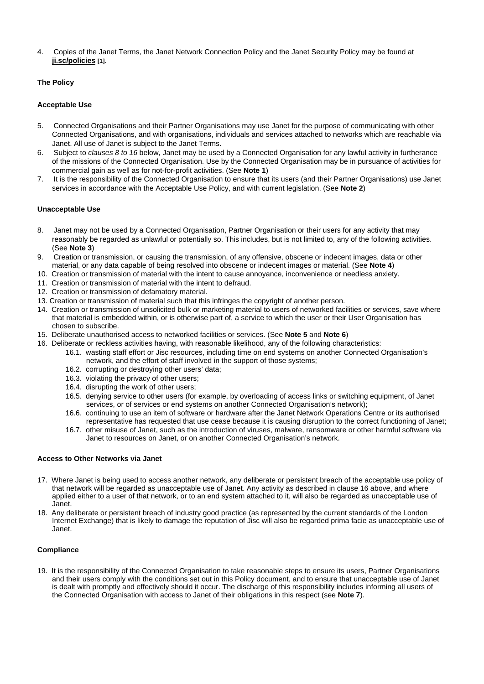4. Copies of the Janet Terms, the Janet Network Connection Policy and the Janet Security Policy may be found at [ji.sc/policies](http://ji.sc/policies) [1].

### The Policy

#### Acceptable Use

- 5. Connected Organisations and their Partner Organisations may use Janet for the purpose of communicating with other Connected Organisations, and with organisations, individuals and services attached to networks which are reachable via Janet. All use of Janet is subject to the Janet Terms.
- 6. Subject to clauses 8 to 16 below, Janet may be used by a Connected Organisation for any lawful activity in furtherance of the missions of the Connected Organisation. Use by the Connected Organisation may be in pursuance of activities for commercial gain as well as for not-for-profit activities. (See Note 1)
- 7. It is the responsibility of the Connected Organisation to ensure that its users (and their Partner Organisations) use Janet services in accordance with the Acceptable Use Policy, and with current legislation. (See Note 2)

#### Unacceptable Use

- 8. Janet may not be used by a Connected Organisation, Partner Organisation or their users for any activity that may reasonably be regarded as unlawful or potentially so. This includes, but is not limited to, any of the following activities. (See Note 3)
- 9. Creation or transmission, or causing the transmission, of any offensive, obscene or indecent images, data or other material, or any data capable of being resolved into obscene or indecent images or material. (See Note 4)
- 10. Creation or transmission of material with the intent to cause annoyance, inconvenience or needless anxiety.
- 11. Creation or transmission of material with the intent to defraud.
- 12. Creation or transmission of defamatory material.
- 13. Creation or transmission of material such that this infringes the copyright of another person.
- 14. Creation or transmission of unsolicited bulk or marketing material to users of networked facilities or services, save where that material is embedded within, or is otherwise part of, a service to which the user or their User Organisation has chosen to subscribe.
- 15. Deliberate unauthorised access to networked facilities or services. (See Note 5 and Note 6)
- 16. Deliberate or reckless activities having, with reasonable likelihood, any of the following characteristics:
	- 16.1. wasting staff effort or Jisc resources, including time on end systems on another Connected Organisation's network, and the effort of staff involved in the support of those systems;
	- 16.2. corrupting or destroying other users' data;
	- 16.3. violating the privacy of other users;
	- 16.4. disrupting the work of other users;
	- 16.5. denying service to other users (for example, by overloading of access links or switching equipment, of Janet services, or of services or end systems on another Connected Organisation's network);
	- 16.6. continuing to use an item of software or hardware after the Janet Network Operations Centre or its authorised representative has requested that use cease because it is causing disruption to the correct functioning of Janet;
	- 16.7. other misuse of Janet, such as the introduction of viruses, malware, ransomware or other harmful software via Janet to resources on Janet, or on another Connected Organisation's network.

### Access to Other Networks via Janet

- 17. Where Janet is being used to access another network, any deliberate or persistent breach of the acceptable use policy of that network will be regarded as unacceptable use of Janet. Any activity as described in clause 16 above, and where applied either to a user of that network, or to an end system attached to it, will also be regarded as unacceptable use of Janet.
- 18. Any deliberate or persistent breach of industry good practice (as represented by the current standards of the London Internet Exchange) that is likely to damage the reputation of Jisc will also be regarded prima facie as unacceptable use of Janet.

#### **Compliance**

19. It is the responsibility of the Connected Organisation to take reasonable steps to ensure its users, Partner Organisations and their users comply with the conditions set out in this Policy document, and to ensure that unacceptable use of Janet is dealt with promptly and effectively should it occur. The discharge of this responsibility includes informing all users of the Connected Organisation with access to Janet of their obligations in this respect (see Note 7).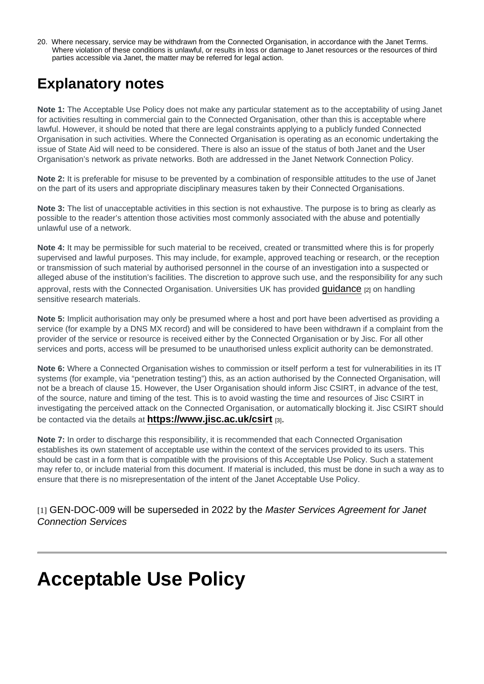20. Where necessary, service may be withdrawn from the Connected Organisation, in accordance with the Janet Terms. Where violation of these conditions is unlawful, or results in loss or damage to Janet resources or the resources of third parties accessible via Janet, the matter may be referred for legal action.

## Explanatory notes

Note 1: The Acceptable Use Policy does not make any particular statement as to the acceptability of using Janet for activities resulting in commercial gain to the Connected Organisation, other than this is acceptable where lawful. However, it should be noted that there are legal constraints applying to a publicly funded Connected Organisation in such activities. Where the Connected Organisation is operating as an economic undertaking the issue of State Aid will need to be considered. There is also an issue of the status of both Janet and the User Organisation's network as private networks. Both are addressed in the Janet Network Connection Policy.

Note 2: It is preferable for misuse to be prevented by a combination of responsible attitudes to the use of Janet on the part of its users and appropriate disciplinary measures taken by their Connected Organisations.

Note 3: The list of unacceptable activities in this section is not exhaustive. The purpose is to bring as clearly as possible to the reader's attention those activities most commonly associated with the abuse and potentially unlawful use of a network.

Note 4: It may be permissible for such material to be received, created or transmitted where this is for properly supervised and lawful purposes. This may include, for example, approved teaching or research, or the reception or transmission of such material by authorised personnel in the course of an investigation into a suspected or alleged abuse of the institution's facilities. The discretion to approve such use, and the responsibility for any such approval, rests with the Connected Organisation. Universities UK has provided quidance [2] on handling sensitive research materials.

Note 5: Implicit authorisation may only be presumed where a host and port have been advertised as providing a service (for example by a DNS MX record) and will be considered to have been withdrawn if a complaint from the provider of the service or resource is received either by the Connected Organisation or by Jisc. For all other services and ports, access will be presumed to be unauthorised unless explicit authority can be demonstrated.

Note 6: Where a Connected Organisation wishes to commission or itself perform a test for vulnerabilities in its IT systems (for example, via "penetration testing") this, as an action authorised by the Connected Organisation, will not be a breach of clause 15. However, the User Organisation should inform Jisc CSIRT, in advance of the test, of the source, nature and timing of the test. This is to avoid wasting the time and resources of Jisc CSIRT in investigating the perceived attack on the Connected Organisation, or automatically blocking it. Jisc CSIRT should be contacted via the details at  $https://www.jisc.ac.uk/csirt<sub>[3]</sub>.$ 

Note 7: In order to discharge this responsibility, it is recommended that each Connected Organisation establishes its own statement of acceptable use within the context of the services provided to its users. This should be cast in a form that is compatible with the provisions of this Acceptable Use Policy. Such a statement may refer to, or include material from this document. If material is included, this must be done in such a way as to ensure that there is no misrepresentation of the intent of the Janet Acceptable Use Policy.

[1] GEN-DOC-009 will be superseded in 2022 by the Master Services Agreement for Janet Connection Services

# Acceptable Use Policy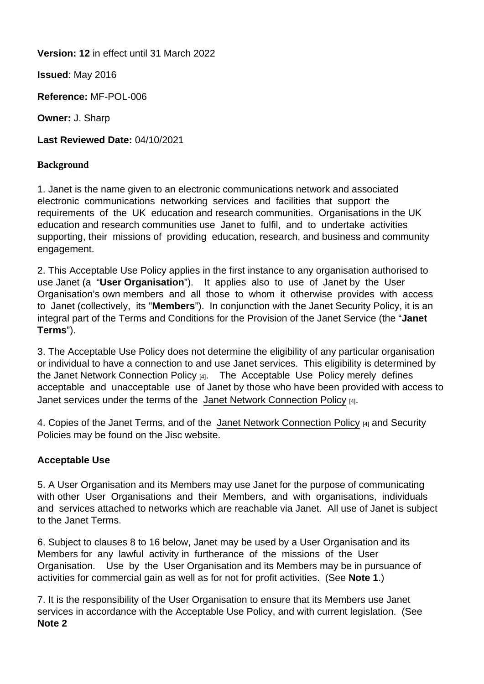Version: 12 in effect until 31 March 2022

Issued : May 2016

Reference: MF-POL-006

Owner: J. Sharp

Last Reviewed Date: 04/10/2021

## **Background**

1. Janet is the name given to an electronic communications network and associated electronic communications networking services and facilities that support the requirements of the UK education and research communities. Organisations in the UK education and research communities use Janet to fulfil, and to undertake activities supporting, their missions of providing education, research, and business and community engagement.

2. This Acceptable Use Policy applies in the first instance to any organisation authorised to use Janet (a "User Organisation "). It applies also to use of Janet by the User Organisation's own members and all those to whom it otherwise provides with access to Janet (collectively, its ''Members "). In conjunction with the Janet Security Policy, it is an integral part of the Terms and Conditions for the Provision of the Janet Service (the "Janet Terms ").

3. The Acceptable Use Policy does not determine the eligibility of any particular organisation or individual to have a connection to and use Janet services. This eligibility is determined by the [Janet Network Connection Policy](http://repository.jisc.ac.uk/7562/1/janet-network-connection-policy-november-2019.pdf) [4]. The Acceptable Use Policy merely defines acceptable and unacceptable use of Janet by those who have been provided with access to Janet services under the terms of the [Janet Network Connection Policy](http://repository.jisc.ac.uk/7562/1/janet-network-connection-policy-november-2019.pdf) [4].

4. Copies of the Janet Terms, and of the [Janet Network Connection Policy](http://repository.jisc.ac.uk/7562/1/janet-network-connection-policy-november-2019.pdf) [4] and Security Policies may be found on the Jisc website.

## Acceptable Use

5. A User Organisation and its Members may use Janet for the purpose of communicating with other User Organisations and their Members, and with organisations, individuals and services attached to networks which are reachable via Janet. All use of Janet is subject to the Janet Terms.

6. Subject to clauses 8 to 16 below, Janet may be used by a User Organisation and its Members for any lawful activity in furtherance of the missions of the User Organisation. Use by the User Organisation and its Members may be in pursuance of activities for commercial gain as well as for not for profit activities. (See Note 1.)

7. It is the responsibility of the User Organisation to ensure that its Members use Janet services in accordance with the Acceptable Use Policy, and with current legislation. (See Note 2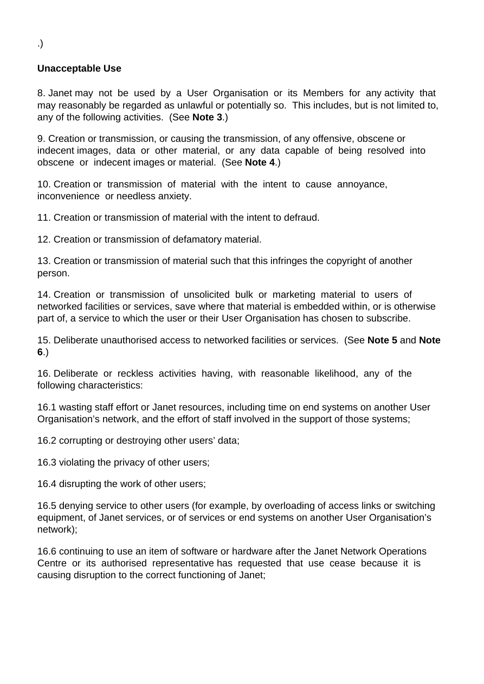## **Unacceptable Use**

8. Janet may not be used by a User Organisation or its Members for any activity that may reasonably be regarded as unlawful or potentially so. This includes, but is not limited to, any of the following activities. (See **Note 3**.)

9. Creation or transmission, or causing the transmission, of any offensive, obscene or indecent images, data or other material, or any data capable of being resolved into obscene or indecent images or material. (See **Note 4**.)

10. Creation or transmission of material with the intent to cause annoyance, inconvenience or needless anxiety.

11. Creation or transmission of material with the intent to defraud.

12. Creation or transmission of defamatory material.

13. Creation or transmission of material such that this infringes the copyright of another person.

14. Creation or transmission of unsolicited bulk or marketing material to users of networked facilities or services, save where that material is embedded within, or is otherwise part of, a service to which the user or their User Organisation has chosen to subscribe.

15. Deliberate unauthorised access to networked facilities or services. (See **Note 5** and **Note 6**.)

16. Deliberate or reckless activities having, with reasonable likelihood, any of the following characteristics:

16.1 wasting staff effort or Janet resources, including time on end systems on another User Organisation's network, and the effort of staff involved in the support of those systems;

16.2 corrupting or destroying other users' data;

16.3 violating the privacy of other users;

16.4 disrupting the work of other users;

16.5 denying service to other users (for example, by overloading of access links or switching equipment, of Janet services, or of services or end systems on another User Organisation's network);

16.6 continuing to use an item of software or hardware after the Janet Network Operations Centre or its authorised representative has requested that use cease because it is causing disruption to the correct functioning of Janet;

.)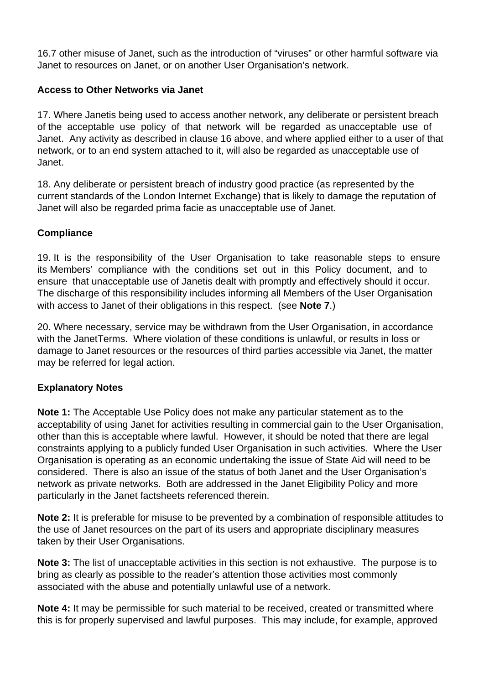16.7 other misuse of Janet, such as the introduction of "viruses" or other harmful software via Janet to resources on Janet, or on another User Organisation's network.

## **Access to Other Networks via Janet**

17. Where Janetis being used to access another network, any deliberate or persistent breach of the acceptable use policy of that network will be regarded as unacceptable use of Janet. Any activity as described in clause 16 above, and where applied either to a user of that network, or to an end system attached to it, will also be regarded as unacceptable use of Janet.

18. Any deliberate or persistent breach of industry good practice (as represented by the current standards of the London Internet Exchange) that is likely to damage the reputation of Janet will also be regarded prima facie as unacceptable use of Janet.

## **Compliance**

19. It is the responsibility of the User Organisation to take reasonable steps to ensure its Members' compliance with the conditions set out in this Policy document, and to ensure that unacceptable use of Janetis dealt with promptly and effectively should it occur. The discharge of this responsibility includes informing all Members of the User Organisation with access to Janet of their obligations in this respect. (see **Note 7**.)

20. Where necessary, service may be withdrawn from the User Organisation, in accordance with the JanetTerms. Where violation of these conditions is unlawful, or results in loss or damage to Janet resources or the resources of third parties accessible via Janet, the matter may be referred for legal action.

### **Explanatory Notes**

**Note 1:** The Acceptable Use Policy does not make any particular statement as to the acceptability of using Janet for activities resulting in commercial gain to the User Organisation, other than this is acceptable where lawful. However, it should be noted that there are legal constraints applying to a publicly funded User Organisation in such activities. Where the User Organisation is operating as an economic undertaking the issue of State Aid will need to be considered. There is also an issue of the status of both Janet and the User Organisation's network as private networks. Both are addressed in the Janet Eligibility Policy and more particularly in the Janet factsheets referenced therein.

**Note 2:** It is preferable for misuse to be prevented by a combination of responsible attitudes to the use of Janet resources on the part of its users and appropriate disciplinary measures taken by their User Organisations.

**Note 3:** The list of unacceptable activities in this section is not exhaustive. The purpose is to bring as clearly as possible to the reader's attention those activities most commonly associated with the abuse and potentially unlawful use of a network.

**Note 4:** It may be permissible for such material to be received, created or transmitted where this is for properly supervised and lawful purposes. This may include, for example, approved